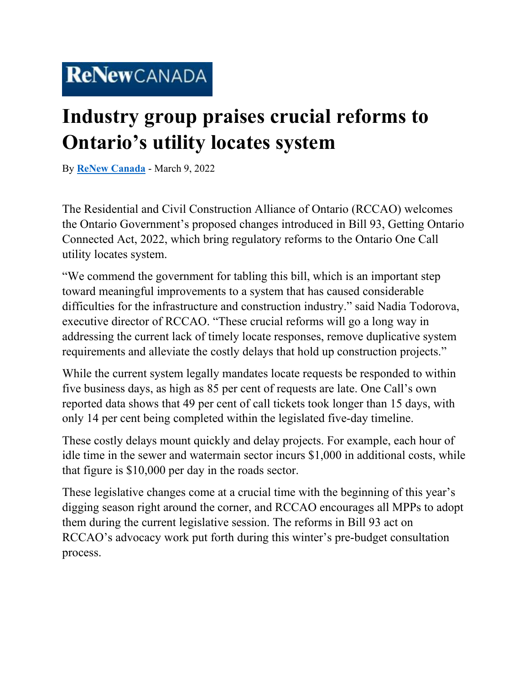## **Industry group praises crucial reforms to Ontario's utility locates system**

By **[ReNew Canada](https://www.renewcanada.net/5000090925-2/)** - March 9, 2022

The Residential and Civil Construction Alliance of Ontario (RCCAO) welcomes the Ontario Government's proposed changes introduced in Bill 93, Getting Ontario Connected Act, 2022, which bring regulatory reforms to the Ontario One Call utility locates system.

"We commend the government for tabling this bill, which is an important step toward meaningful improvements to a system that has caused considerable difficulties for the infrastructure and construction industry." said Nadia Todorova, executive director of RCCAO. "These crucial reforms will go a long way in addressing the current lack of timely locate responses, remove duplicative system requirements and alleviate the costly delays that hold up construction projects."

While the current system legally mandates locate requests be responded to within five business days, as high as 85 per cent of requests are late. One Call's own reported data shows that 49 per cent of call tickets took longer than 15 days, with only 14 per cent being completed within the legislated five-day timeline.

These costly delays mount quickly and delay projects. For example, each hour of idle time in the sewer and watermain sector incurs \$1,000 in additional costs, while that figure is \$10,000 per day in the roads sector.

These legislative changes come at a crucial time with the beginning of this year's digging season right around the corner, and RCCAO encourages all MPPs to adopt them during the current legislative session. The reforms in Bill 93 act on RCCAO's advocacy work put forth during this winter's pre-budget consultation process.